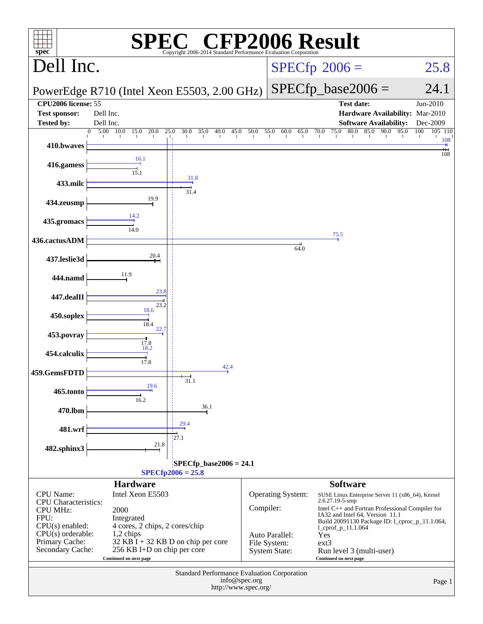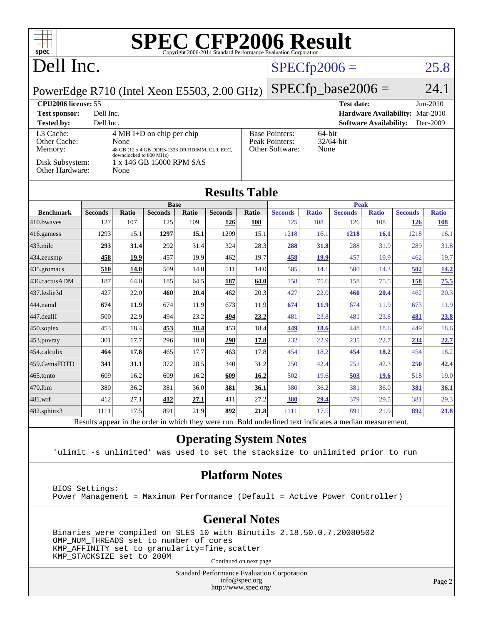| <b>SPEC CFP2006 Result</b><br>$spec^{\circ}$                                                             |                |              |                             |       |                |                |                                                        |              |                                 |                               |                |              |
|----------------------------------------------------------------------------------------------------------|----------------|--------------|-----------------------------|-------|----------------|----------------|--------------------------------------------------------|--------------|---------------------------------|-------------------------------|----------------|--------------|
| Dell Inc.                                                                                                |                |              |                             |       |                | $SPECfp2006 =$ |                                                        |              | 25.8                            |                               |                |              |
| PowerEdge R710 (Intel Xeon E5503, 2.00 GHz)                                                              |                |              |                             |       |                |                | $SPECfp\_base2006 =$                                   |              |                                 |                               | 24.1           |              |
| CPU2006 license: 55                                                                                      |                |              |                             |       |                |                |                                                        |              | <b>Test date:</b>               |                               |                | $Jun-2010$   |
| <b>Test sponsor:</b><br>Dell Inc.                                                                        |                |              |                             |       |                |                |                                                        |              | Hardware Availability: Mar-2010 |                               |                |              |
| <b>Tested by:</b>                                                                                        | Dell Inc.      |              |                             |       |                |                |                                                        |              |                                 | <b>Software Availability:</b> |                | Dec-2009     |
| L3 Cache:<br>Other Cache:                                                                                |                | None         | $4 MB I+D$ on chip per chip |       |                |                | <b>Base Pointers:</b><br>64-bit                        |              |                                 |                               |                |              |
| Memory:                                                                                                  |                |              |                             |       |                |                | Peak Pointers:<br>32/64-bit<br>Other Software:<br>None |              |                                 |                               |                |              |
| 48 GB (12 x 4 GB DDR3-1333 DR RDIMM, CL9, ECC,<br>downclocked to 800 MHz)<br>1 x 146 GB 15000 RPM SAS    |                |              |                             |       |                |                |                                                        |              |                                 |                               |                |              |
| Disk Subsystem:<br>Other Hardware:<br>None                                                               |                |              |                             |       |                |                |                                                        |              |                                 |                               |                |              |
| <b>Results Table</b>                                                                                     |                |              |                             |       |                |                |                                                        |              |                                 |                               |                |              |
|                                                                                                          |                |              | <b>Base</b>                 |       |                |                | <b>Peak</b>                                            |              |                                 |                               |                |              |
| <b>Benchmark</b>                                                                                         | <b>Seconds</b> | <b>Ratio</b> | <b>Seconds</b>              | Ratio | <b>Seconds</b> | Ratio          | <b>Seconds</b>                                         | <b>Ratio</b> | <b>Seconds</b>                  | <b>Ratio</b>                  | <b>Seconds</b> | <b>Ratio</b> |
| 410.bwayes                                                                                               | 127            | 107          | 125                         | 109   | <u>126</u>     | 108            | 125                                                    | 108          | 126                             | 108                           | <u>126</u>     | 108          |
| 416.gamess                                                                                               | 1293           | 15.1         | 1297                        | 15.1  | 1299           | 15.1           | 1218                                                   | 16.1         | 1218                            | <b>16.1</b>                   | 1218           | 16.1         |
| 433.milc                                                                                                 | 293            | 31.4         | 292                         | 31.4  | 324            | 28.3           | 288                                                    | 31.8         | 288                             | 31.9                          | 289            | 31.8         |
| 434.zeusmp                                                                                               | 458            | 19.9         | 457                         | 19.9  | 462            | 19.7           | 458                                                    | 19.9         | 457                             | 19.9                          | 462            | 19.7         |
| 435.gromacs                                                                                              | 510            | 14.0         | 509                         | 14.0  | 511            | 14.0           | 505                                                    | 14.1         | 500                             | 14.3                          | 502            | <u>14.2</u>  |
| 436.cactusADM                                                                                            | 187            | 64.0         | 185                         | 64.5  | 187            | 64.0           | 158                                                    | 75.6         | 158                             | 75.5                          | 158            | 75.5         |
| 437.leslie3d                                                                                             | 427            | 22.0         | 460                         | 20.4  | 462            | 20.3           | 427                                                    | 22.0         | 460                             | 20.4                          | 462            | 20.3         |
| 444.namd                                                                                                 | 674            | 11.9         | 674                         | 11.9  | 673            | 11.9           | 674                                                    | 11.9         | 674                             | 11.9                          | 673            | 11.9         |
| 447.dealII                                                                                               | 500            | 22.9         | 494                         | 23.2  | 494            | 23.2           | 481                                                    | 23.8         | 481                             | 23.8                          | 481            | 23.8         |
| 450.soplex                                                                                               | 453            | 18.4         | 453                         | 18.4  | 453            | 18.4           | 449                                                    | <b>18.6</b>  | 448                             | 18.6                          | 449            | 18.6         |
| 453.povray                                                                                               | 301            | 17.7         | 296                         | 18.0  | 298            | 17.8           | 232                                                    | 22.9         | 235                             | 22.7                          | 234            | 22.7         |
| 454.calculix                                                                                             | 464            | 17.8         | 465                         | 17.7  | 463            | 17.8           | 454                                                    | 18.2         | 454                             | 18.2                          | 454            | 18.2         |
| 459.GemsFDTD                                                                                             | 341            | 31.1         | 372                         | 28.5  | 340            | 31.2           | 250                                                    | 42.4         | 251                             | 42.3                          | 250            | 42.4         |
| 465.tonto                                                                                                | 609            | 16.2         | 609                         | 16.2  | 609            | 16.2           | 502                                                    | 19.6         | 503                             | 19.6                          | 518            | 19.0         |
| 470.1bm                                                                                                  | 380            | 36.2         | 381                         | 36.0  | 381            | 36.1           | 380                                                    | 36.2         | 381                             | 36.0                          | 381            | 36.1         |
| 481.wrf                                                                                                  | 412            | 27.1         | 412                         | 27.1  | 411            | 27.2           | 380                                                    | 29.4         | 379                             | 29.5                          | 381            | 29.3         |
| 482.sphinx3                                                                                              | 1111           | 17.5         | 891                         | 21.9  | 892            | 21.8           | 1111                                                   | 17.5         | 891                             | 21.9                          | 892            | 21.8         |
| Results appear in the order in which they were run. Bold underlined text indicates a median measurement. |                |              |                             |       |                |                |                                                        |              |                                 |                               |                |              |

#### **[Operating System Notes](http://www.spec.org/auto/cpu2006/Docs/result-fields.html#OperatingSystemNotes)**

'ulimit -s unlimited' was used to set the stacksize to unlimited prior to run

#### **[Platform Notes](http://www.spec.org/auto/cpu2006/Docs/result-fields.html#PlatformNotes)**

 BIOS Settings: Power Management = Maximum Performance (Default = Active Power Controller)

#### **[General Notes](http://www.spec.org/auto/cpu2006/Docs/result-fields.html#GeneralNotes)**

 Binaries were compiled on SLES 10 with Binutils 2.18.50.0.7.20080502 OMP\_NUM\_THREADS set to number of cores KMP\_AFFINITY set to granularity=fine,scatter KMP\_STACKSIZE set to 200M

Continued on next page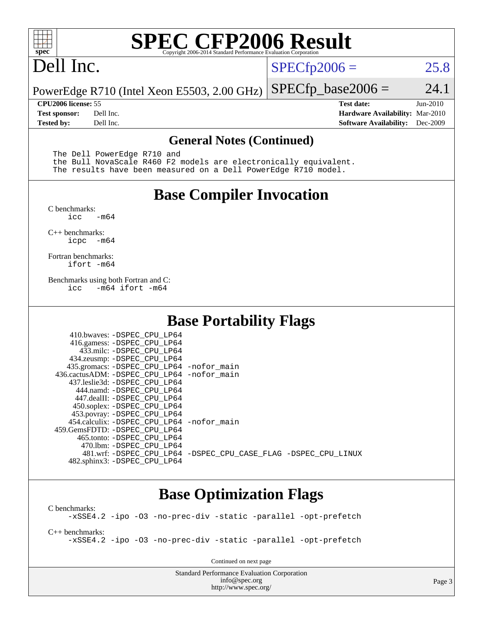

# **[SPEC CFP2006 Result](http://www.spec.org/auto/cpu2006/Docs/result-fields.html#SPECCFP2006Result)**

## Dell Inc.

 $SPECTp2006 = 25.8$ 

PowerEdge R710 (Intel Xeon E5503, 2.00 GHz)  $SPECTp\_base2006 = 24.1$ 

**[CPU2006 license:](http://www.spec.org/auto/cpu2006/Docs/result-fields.html#CPU2006license)** 55 **[Test date:](http://www.spec.org/auto/cpu2006/Docs/result-fields.html#Testdate)** Jun-2010 **[Test sponsor:](http://www.spec.org/auto/cpu2006/Docs/result-fields.html#Testsponsor)** Dell Inc. **[Hardware Availability:](http://www.spec.org/auto/cpu2006/Docs/result-fields.html#HardwareAvailability)** Mar-2010 **[Tested by:](http://www.spec.org/auto/cpu2006/Docs/result-fields.html#Testedby)** Dell Inc. **[Software Availability:](http://www.spec.org/auto/cpu2006/Docs/result-fields.html#SoftwareAvailability)** Dec-2009

#### **[General Notes \(Continued\)](http://www.spec.org/auto/cpu2006/Docs/result-fields.html#GeneralNotes)**

The Dell PowerEdge R710 and

 the Bull NovaScale R460 F2 models are electronically equivalent. The results have been measured on a Dell PowerEdge R710 model.

#### **[Base Compiler Invocation](http://www.spec.org/auto/cpu2006/Docs/result-fields.html#BaseCompilerInvocation)**

[C benchmarks](http://www.spec.org/auto/cpu2006/Docs/result-fields.html#Cbenchmarks):  $-m64$ 

[C++ benchmarks:](http://www.spec.org/auto/cpu2006/Docs/result-fields.html#CXXbenchmarks) [icpc -m64](http://www.spec.org/cpu2006/results/res2010q3/cpu2006-20100702-12139.flags.html#user_CXXbase_intel_icpc_64bit_bedb90c1146cab66620883ef4f41a67e)

[Fortran benchmarks](http://www.spec.org/auto/cpu2006/Docs/result-fields.html#Fortranbenchmarks): [ifort -m64](http://www.spec.org/cpu2006/results/res2010q3/cpu2006-20100702-12139.flags.html#user_FCbase_intel_ifort_64bit_ee9d0fb25645d0210d97eb0527dcc06e)

[Benchmarks using both Fortran and C](http://www.spec.org/auto/cpu2006/Docs/result-fields.html#BenchmarksusingbothFortranandC): [icc -m64](http://www.spec.org/cpu2006/results/res2010q3/cpu2006-20100702-12139.flags.html#user_CC_FCbase_intel_icc_64bit_0b7121f5ab7cfabee23d88897260401c) [ifort -m64](http://www.spec.org/cpu2006/results/res2010q3/cpu2006-20100702-12139.flags.html#user_CC_FCbase_intel_ifort_64bit_ee9d0fb25645d0210d97eb0527dcc06e)

### **[Base Portability Flags](http://www.spec.org/auto/cpu2006/Docs/result-fields.html#BasePortabilityFlags)**

| 410.bwaves: -DSPEC CPU LP64<br>416.gamess: -DSPEC_CPU_LP64<br>433.milc: -DSPEC CPU LP64<br>434.zeusmp: -DSPEC_CPU_LP64<br>435.gromacs: -DSPEC_CPU_LP64 -nofor_main<br>436.cactusADM: -DSPEC CPU LP64 -nofor main<br>437.leslie3d: -DSPEC CPU LP64<br>444.namd: -DSPEC CPU LP64<br>447.dealII: -DSPEC CPU LP64 |                                                                |
|---------------------------------------------------------------------------------------------------------------------------------------------------------------------------------------------------------------------------------------------------------------------------------------------------------------|----------------------------------------------------------------|
| 450.soplex: -DSPEC_CPU_LP64<br>453.povray: -DSPEC_CPU_LP64<br>454.calculix: - DSPEC CPU LP64 - nofor main<br>459. GemsFDTD: - DSPEC CPU LP64<br>465.tonto: - DSPEC CPU LP64                                                                                                                                   |                                                                |
| 470.1bm: - DSPEC CPU LP64<br>482.sphinx3: -DSPEC_CPU_LP64                                                                                                                                                                                                                                                     | 481.wrf: -DSPEC CPU_LP64 -DSPEC_CPU_CASE_FLAG -DSPEC_CPU_LINUX |

#### **[Base Optimization Flags](http://www.spec.org/auto/cpu2006/Docs/result-fields.html#BaseOptimizationFlags)**

[C benchmarks](http://www.spec.org/auto/cpu2006/Docs/result-fields.html#Cbenchmarks): [-xSSE4.2](http://www.spec.org/cpu2006/results/res2010q3/cpu2006-20100702-12139.flags.html#user_CCbase_f-xSSE42_f91528193cf0b216347adb8b939d4107) [-ipo](http://www.spec.org/cpu2006/results/res2010q3/cpu2006-20100702-12139.flags.html#user_CCbase_f-ipo) [-O3](http://www.spec.org/cpu2006/results/res2010q3/cpu2006-20100702-12139.flags.html#user_CCbase_f-O3) [-no-prec-div](http://www.spec.org/cpu2006/results/res2010q3/cpu2006-20100702-12139.flags.html#user_CCbase_f-no-prec-div) [-static](http://www.spec.org/cpu2006/results/res2010q3/cpu2006-20100702-12139.flags.html#user_CCbase_f-static) [-parallel](http://www.spec.org/cpu2006/results/res2010q3/cpu2006-20100702-12139.flags.html#user_CCbase_f-parallel) [-opt-prefetch](http://www.spec.org/cpu2006/results/res2010q3/cpu2006-20100702-12139.flags.html#user_CCbase_f-opt-prefetch)

[C++ benchmarks:](http://www.spec.org/auto/cpu2006/Docs/result-fields.html#CXXbenchmarks) [-xSSE4.2](http://www.spec.org/cpu2006/results/res2010q3/cpu2006-20100702-12139.flags.html#user_CXXbase_f-xSSE42_f91528193cf0b216347adb8b939d4107) [-ipo](http://www.spec.org/cpu2006/results/res2010q3/cpu2006-20100702-12139.flags.html#user_CXXbase_f-ipo) [-O3](http://www.spec.org/cpu2006/results/res2010q3/cpu2006-20100702-12139.flags.html#user_CXXbase_f-O3) [-no-prec-div](http://www.spec.org/cpu2006/results/res2010q3/cpu2006-20100702-12139.flags.html#user_CXXbase_f-no-prec-div) [-static](http://www.spec.org/cpu2006/results/res2010q3/cpu2006-20100702-12139.flags.html#user_CXXbase_f-static) [-parallel](http://www.spec.org/cpu2006/results/res2010q3/cpu2006-20100702-12139.flags.html#user_CXXbase_f-parallel) [-opt-prefetch](http://www.spec.org/cpu2006/results/res2010q3/cpu2006-20100702-12139.flags.html#user_CXXbase_f-opt-prefetch)

Continued on next page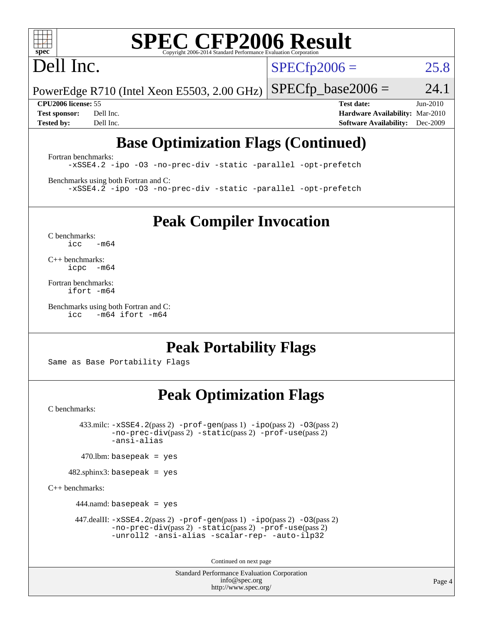

# **[SPEC CFP2006 Result](http://www.spec.org/auto/cpu2006/Docs/result-fields.html#SPECCFP2006Result)**

# Dell Inc.

 $SPECTp2006 = 25.8$ 

PowerEdge R710 (Intel Xeon E5503, 2.00 GHz)  $SPECTp\_base2006 = 24.1$ 

**[CPU2006 license:](http://www.spec.org/auto/cpu2006/Docs/result-fields.html#CPU2006license)** 55 **[Test date:](http://www.spec.org/auto/cpu2006/Docs/result-fields.html#Testdate)** Jun-2010 **[Test sponsor:](http://www.spec.org/auto/cpu2006/Docs/result-fields.html#Testsponsor)** Dell Inc. **[Hardware Availability:](http://www.spec.org/auto/cpu2006/Docs/result-fields.html#HardwareAvailability)** Mar-2010 **[Tested by:](http://www.spec.org/auto/cpu2006/Docs/result-fields.html#Testedby)** Dell Inc. **[Software Availability:](http://www.spec.org/auto/cpu2006/Docs/result-fields.html#SoftwareAvailability)** Dec-2009

## **[Base Optimization Flags \(Continued\)](http://www.spec.org/auto/cpu2006/Docs/result-fields.html#BaseOptimizationFlags)**

[Fortran benchmarks](http://www.spec.org/auto/cpu2006/Docs/result-fields.html#Fortranbenchmarks): [-xSSE4.2](http://www.spec.org/cpu2006/results/res2010q3/cpu2006-20100702-12139.flags.html#user_FCbase_f-xSSE42_f91528193cf0b216347adb8b939d4107) [-ipo](http://www.spec.org/cpu2006/results/res2010q3/cpu2006-20100702-12139.flags.html#user_FCbase_f-ipo) [-O3](http://www.spec.org/cpu2006/results/res2010q3/cpu2006-20100702-12139.flags.html#user_FCbase_f-O3) [-no-prec-div](http://www.spec.org/cpu2006/results/res2010q3/cpu2006-20100702-12139.flags.html#user_FCbase_f-no-prec-div) [-static](http://www.spec.org/cpu2006/results/res2010q3/cpu2006-20100702-12139.flags.html#user_FCbase_f-static) [-parallel](http://www.spec.org/cpu2006/results/res2010q3/cpu2006-20100702-12139.flags.html#user_FCbase_f-parallel) [-opt-prefetch](http://www.spec.org/cpu2006/results/res2010q3/cpu2006-20100702-12139.flags.html#user_FCbase_f-opt-prefetch)

[Benchmarks using both Fortran and C](http://www.spec.org/auto/cpu2006/Docs/result-fields.html#BenchmarksusingbothFortranandC): [-xSSE4.2](http://www.spec.org/cpu2006/results/res2010q3/cpu2006-20100702-12139.flags.html#user_CC_FCbase_f-xSSE42_f91528193cf0b216347adb8b939d4107) [-ipo](http://www.spec.org/cpu2006/results/res2010q3/cpu2006-20100702-12139.flags.html#user_CC_FCbase_f-ipo) [-O3](http://www.spec.org/cpu2006/results/res2010q3/cpu2006-20100702-12139.flags.html#user_CC_FCbase_f-O3) [-no-prec-div](http://www.spec.org/cpu2006/results/res2010q3/cpu2006-20100702-12139.flags.html#user_CC_FCbase_f-no-prec-div) [-static](http://www.spec.org/cpu2006/results/res2010q3/cpu2006-20100702-12139.flags.html#user_CC_FCbase_f-static) [-parallel](http://www.spec.org/cpu2006/results/res2010q3/cpu2006-20100702-12139.flags.html#user_CC_FCbase_f-parallel) [-opt-prefetch](http://www.spec.org/cpu2006/results/res2010q3/cpu2006-20100702-12139.flags.html#user_CC_FCbase_f-opt-prefetch)

**[Peak Compiler Invocation](http://www.spec.org/auto/cpu2006/Docs/result-fields.html#PeakCompilerInvocation)**

[C benchmarks](http://www.spec.org/auto/cpu2006/Docs/result-fields.html#Cbenchmarks):  $icc$   $-m64$ 

[C++ benchmarks:](http://www.spec.org/auto/cpu2006/Docs/result-fields.html#CXXbenchmarks) [icpc -m64](http://www.spec.org/cpu2006/results/res2010q3/cpu2006-20100702-12139.flags.html#user_CXXpeak_intel_icpc_64bit_bedb90c1146cab66620883ef4f41a67e)

[Fortran benchmarks](http://www.spec.org/auto/cpu2006/Docs/result-fields.html#Fortranbenchmarks): [ifort -m64](http://www.spec.org/cpu2006/results/res2010q3/cpu2006-20100702-12139.flags.html#user_FCpeak_intel_ifort_64bit_ee9d0fb25645d0210d97eb0527dcc06e)

[Benchmarks using both Fortran and C](http://www.spec.org/auto/cpu2006/Docs/result-fields.html#BenchmarksusingbothFortranandC): [icc -m64](http://www.spec.org/cpu2006/results/res2010q3/cpu2006-20100702-12139.flags.html#user_CC_FCpeak_intel_icc_64bit_0b7121f5ab7cfabee23d88897260401c) [ifort -m64](http://www.spec.org/cpu2006/results/res2010q3/cpu2006-20100702-12139.flags.html#user_CC_FCpeak_intel_ifort_64bit_ee9d0fb25645d0210d97eb0527dcc06e)

### **[Peak Portability Flags](http://www.spec.org/auto/cpu2006/Docs/result-fields.html#PeakPortabilityFlags)**

Same as Base Portability Flags

### **[Peak Optimization Flags](http://www.spec.org/auto/cpu2006/Docs/result-fields.html#PeakOptimizationFlags)**

[C benchmarks](http://www.spec.org/auto/cpu2006/Docs/result-fields.html#Cbenchmarks):

 $433 \text{.}$ milc:  $-xSSE4$ .  $2(pass 2)$  - $prof-gen(pass 1)$  - $ipo(pass 2)$  [-O3](http://www.spec.org/cpu2006/results/res2010q3/cpu2006-20100702-12139.flags.html#user_peakPASS2_CFLAGSPASS2_LDFLAGS433_milc_f-O3) $(pass 2)$ [-no-prec-div](http://www.spec.org/cpu2006/results/res2010q3/cpu2006-20100702-12139.flags.html#user_peakPASS2_CFLAGSPASS2_LDFLAGS433_milc_f-no-prec-div)(pass 2) [-static](http://www.spec.org/cpu2006/results/res2010q3/cpu2006-20100702-12139.flags.html#user_peakPASS2_CFLAGSPASS2_LDFLAGS433_milc_f-static)(pass 2) [-prof-use](http://www.spec.org/cpu2006/results/res2010q3/cpu2006-20100702-12139.flags.html#user_peakPASS2_CFLAGSPASS2_LDFLAGS433_milc_prof_use_bccf7792157ff70d64e32fe3e1250b55)(pass 2) [-ansi-alias](http://www.spec.org/cpu2006/results/res2010q3/cpu2006-20100702-12139.flags.html#user_peakOPTIMIZE433_milc_f-ansi-alias)

 $470$ .lbm: basepeak = yes

482.sphinx3: basepeak = yes

[C++ benchmarks:](http://www.spec.org/auto/cpu2006/Docs/result-fields.html#CXXbenchmarks)

 $444$ .namd: basepeak = yes

 447.dealII: [-xSSE4.2](http://www.spec.org/cpu2006/results/res2010q3/cpu2006-20100702-12139.flags.html#user_peakPASS2_CXXFLAGSPASS2_LDFLAGS447_dealII_f-xSSE42_f91528193cf0b216347adb8b939d4107)(pass 2) [-prof-gen](http://www.spec.org/cpu2006/results/res2010q3/cpu2006-20100702-12139.flags.html#user_peakPASS1_CXXFLAGSPASS1_LDFLAGS447_dealII_prof_gen_e43856698f6ca7b7e442dfd80e94a8fc)(pass 1) [-ipo](http://www.spec.org/cpu2006/results/res2010q3/cpu2006-20100702-12139.flags.html#user_peakPASS2_CXXFLAGSPASS2_LDFLAGS447_dealII_f-ipo)(pass 2) [-O3](http://www.spec.org/cpu2006/results/res2010q3/cpu2006-20100702-12139.flags.html#user_peakPASS2_CXXFLAGSPASS2_LDFLAGS447_dealII_f-O3)(pass 2) [-no-prec-div](http://www.spec.org/cpu2006/results/res2010q3/cpu2006-20100702-12139.flags.html#user_peakPASS2_CXXFLAGSPASS2_LDFLAGS447_dealII_f-no-prec-div)(pass 2) [-static](http://www.spec.org/cpu2006/results/res2010q3/cpu2006-20100702-12139.flags.html#user_peakPASS2_CXXFLAGSPASS2_LDFLAGS447_dealII_f-static)(pass 2) [-prof-use](http://www.spec.org/cpu2006/results/res2010q3/cpu2006-20100702-12139.flags.html#user_peakPASS2_CXXFLAGSPASS2_LDFLAGS447_dealII_prof_use_bccf7792157ff70d64e32fe3e1250b55)(pass 2) [-unroll2](http://www.spec.org/cpu2006/results/res2010q3/cpu2006-20100702-12139.flags.html#user_peakOPTIMIZE447_dealII_f-unroll_784dae83bebfb236979b41d2422d7ec2) [-ansi-alias](http://www.spec.org/cpu2006/results/res2010q3/cpu2006-20100702-12139.flags.html#user_peakOPTIMIZE447_dealII_f-ansi-alias) [-scalar-rep-](http://www.spec.org/cpu2006/results/res2010q3/cpu2006-20100702-12139.flags.html#user_peakOPTIMIZE447_dealII_f-disablescalarrep_abbcad04450fb118e4809c81d83c8a1d) [-auto-ilp32](http://www.spec.org/cpu2006/results/res2010q3/cpu2006-20100702-12139.flags.html#user_peakCXXOPTIMIZE447_dealII_f-auto-ilp32)

Continued on next page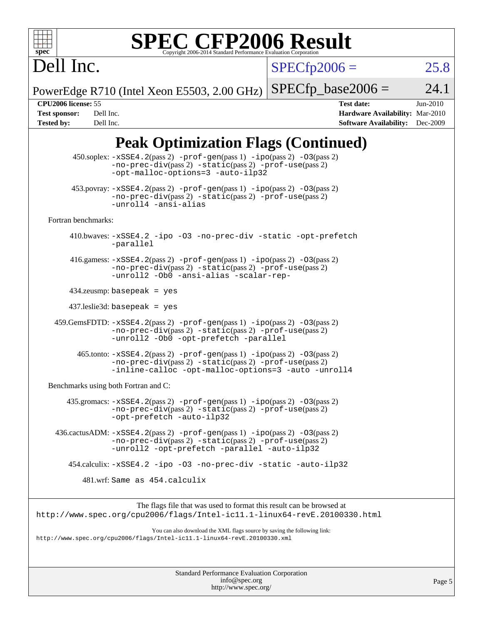

# **[SPEC CFP2006 Result](http://www.spec.org/auto/cpu2006/Docs/result-fields.html#SPECCFP2006Result)**

 $SPECfp2006 = 25.8$  $SPECfp2006 = 25.8$ 

PowerEdge R710 (Intel Xeon E5503, 2.00 GHz)  $SPECTp\_base2006 = 24.1$ 

Dell Inc.

**[CPU2006 license:](http://www.spec.org/auto/cpu2006/Docs/result-fields.html#CPU2006license)** 55 **[Test date:](http://www.spec.org/auto/cpu2006/Docs/result-fields.html#Testdate)** Jun-2010 **[Test sponsor:](http://www.spec.org/auto/cpu2006/Docs/result-fields.html#Testsponsor)** Dell Inc. **[Hardware Availability:](http://www.spec.org/auto/cpu2006/Docs/result-fields.html#HardwareAvailability)** Mar-2010 **[Tested by:](http://www.spec.org/auto/cpu2006/Docs/result-fields.html#Testedby)** Dell Inc. **[Software Availability:](http://www.spec.org/auto/cpu2006/Docs/result-fields.html#SoftwareAvailability)** Dec-2009

## **[Peak Optimization Flags \(Continued\)](http://www.spec.org/auto/cpu2006/Docs/result-fields.html#PeakOptimizationFlags)**

|                                      | $450$ .soplex: $-xSSE4$ . $2(pass 2)$ -prof-gen(pass 1) -ipo(pass 2) -03(pass 2)<br>-no-prec-div(pass 2) -static(pass 2) -prof-use(pass 2)<br>-opt-malloc-options=3 -auto-ilp32                    |
|--------------------------------------|----------------------------------------------------------------------------------------------------------------------------------------------------------------------------------------------------|
|                                      | 453.povray: $-xSSE4$ . 2(pass 2) $-prof-gen(pass 1) -ipo(pass 2) -O3(pass 2)$<br>-no-prec-div(pass 2) -static(pass 2) -prof-use(pass 2)<br>-unroll4 -ansi-alias                                    |
| Fortran benchmarks:                  |                                                                                                                                                                                                    |
|                                      | 410.bwaves: -xSSE4.2 -ipo -03 -no-prec-div -static -opt-prefetch<br>-parallel                                                                                                                      |
|                                      | 416.gamess: $-xSSE4$ . 2(pass 2) $-prof-gen(pass 1) -ipo(pass 2) -O3(pass 2)$<br>-no-prec-div(pass 2) -static(pass 2) -prof-use(pass 2)<br>-unroll2 -Ob0 -ansi-alias -scalar-rep-                  |
|                                      | $434$ .zeusmp: basepeak = yes                                                                                                                                                                      |
|                                      | $437$ leslie3d: basepeak = yes                                                                                                                                                                     |
|                                      | $459.GemsFDTD: -xSSE4.2(pass 2) -prof-gen(pass 1) -ipo(pass 2) -03(pass 2)$<br>$-no-prec-div(pass 2) -static(pass 2) -prof-use(pass 2)$<br>-unroll2 -0b0 -opt-prefetch -parallel                   |
|                                      | $465$ .tonto: $-xSSE4$ . 2(pass 2) $-prof-gen(pass 1) -ipo(pass 2) -03(pass 2)$<br>$-no-prec-div(pass 2) -static(pass 2) -prof-use(pass 2)$<br>-inline-calloc -opt-malloc-options=3 -auto -unroll4 |
| Benchmarks using both Fortran and C: |                                                                                                                                                                                                    |
|                                      | $435$ .gromacs: $-xSSE4$ . 2(pass 2) $-prof-gen(pass 1) -ipo(pass 2) -03(pass 2)$<br>-no-prec-div(pass 2) -static(pass 2) -prof-use(pass 2)<br>-opt-prefetch -auto-ilp32                           |
|                                      | $436.cactusADM: -xSSE4.2(pass 2) -prof-gen(pass 1) -ipo(pass 2) -03(pass 2)$<br>$-no-prec-div(pass 2) -static(pass 2) -prof-use(pass 2)$<br>-unroll2 -opt-prefetch -parallel -auto-ilp32           |
|                                      | 454.calculix: -xSSE4.2 -ipo -03 -no-prec-div -static -auto-ilp32                                                                                                                                   |
|                                      | 481.wrf: Same as 454.calculix                                                                                                                                                                      |
|                                      | The flags file that was used to format this result can be browsed at                                                                                                                               |
|                                      | http://www.spec.org/cpu2006/flags/Intel-ic11.1-linux64-revE.20100330.html                                                                                                                          |
|                                      | You can also download the XML flags source by saving the following link:<br>http://www.spec.org/cpu2006/flags/Intel-icll.1-linux64-revE.20100330.xml                                               |
|                                      |                                                                                                                                                                                                    |
|                                      |                                                                                                                                                                                                    |